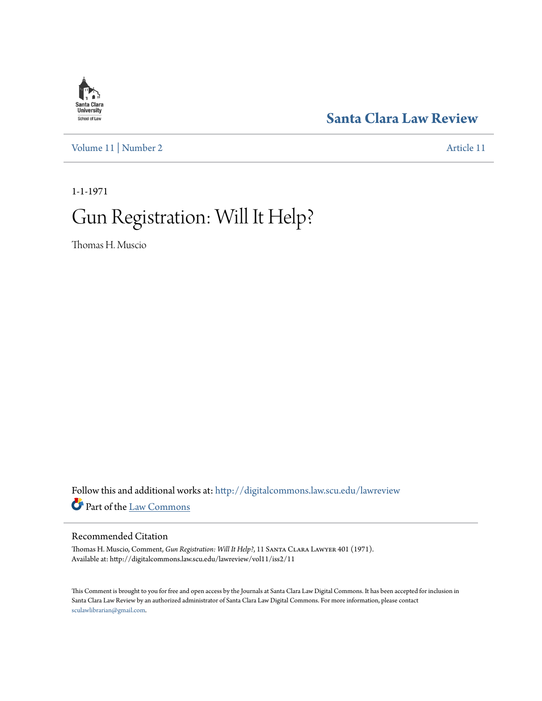# **Santa Clara**<br>**University** School of Law

[Volume 11](http://digitalcommons.law.scu.edu/lawreview/vol11?utm_source=digitalcommons.law.scu.edu%2Flawreview%2Fvol11%2Fiss2%2F11&utm_medium=PDF&utm_campaign=PDFCoverPages) | [Number 2](http://digitalcommons.law.scu.edu/lawreview/vol11/iss2?utm_source=digitalcommons.law.scu.edu%2Flawreview%2Fvol11%2Fiss2%2F11&utm_medium=PDF&utm_campaign=PDFCoverPages) [Article 11](http://digitalcommons.law.scu.edu/lawreview/vol11/iss2/11?utm_source=digitalcommons.law.scu.edu%2Flawreview%2Fvol11%2Fiss2%2F11&utm_medium=PDF&utm_campaign=PDFCoverPages)

# **[Santa Clara Law Review](http://digitalcommons.law.scu.edu/lawreview?utm_source=digitalcommons.law.scu.edu%2Flawreview%2Fvol11%2Fiss2%2F11&utm_medium=PDF&utm_campaign=PDFCoverPages)**

1-1-1971

# Gun Registration: Will It Help?

Thomas H. Muscio

Follow this and additional works at: [http://digitalcommons.law.scu.edu/lawreview](http://digitalcommons.law.scu.edu/lawreview?utm_source=digitalcommons.law.scu.edu%2Flawreview%2Fvol11%2Fiss2%2F11&utm_medium=PDF&utm_campaign=PDFCoverPages) Part of the [Law Commons](http://network.bepress.com/hgg/discipline/578?utm_source=digitalcommons.law.scu.edu%2Flawreview%2Fvol11%2Fiss2%2F11&utm_medium=PDF&utm_campaign=PDFCoverPages)

### Recommended Citation

Thomas H. Muscio, Comment, *Gun Registration: Will It Help?*, 11 Santa Clara Lawyer 401 (1971). Available at: http://digitalcommons.law.scu.edu/lawreview/vol11/iss2/11

This Comment is brought to you for free and open access by the Journals at Santa Clara Law Digital Commons. It has been accepted for inclusion in Santa Clara Law Review by an authorized administrator of Santa Clara Law Digital Commons. For more information, please contact [sculawlibrarian@gmail.com](mailto:sculawlibrarian@gmail.com).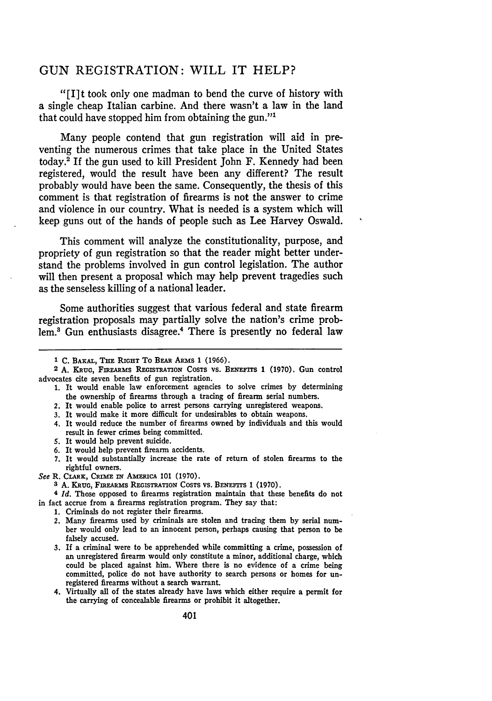## **GUN** REGISTRATION: WILL IT HELP?

"[lIt took only one madman to bend the curve of history with a single cheap Italian carbine. And there wasn't a law in the land that could have stopped him from obtaining the gun."'

Many people contend that gun registration will aid in preventing the numerous crimes that take place in the United States today.' If the gun used to kill President John F. Kennedy had been registered, would the result have been any different? The result probably would have been the same. Consequently, the thesis of this comment is that registration of firearms is not the answer to crime and violence in our country. What is needed is a system which will keep guns out of the hands of people such as Lee Harvey Oswald.

This comment will analyze the constitutionality, purpose, and propriety of gun registration so that the reader might better understand the problems involved in gun control legislation. The author will then present a proposal which may help prevent tragedies such as the senseless killing of a national leader.

Some authorities suggest that various federal and state firearm registration proposals may partially solve the nation's crime problem.<sup>8</sup> Gun enthusiasts disagree.<sup>4</sup> There is presently no federal law

- <sup>2</sup> A. KRUG, FIREARMS REGISTRATION COSTS VS. BENEFITS 1 (1970). Gun control advocates cite seven benefits of gun registration.
	- 1. It would enable law enforcement agencies to solve crimes by determining the ownership of firearms through a tracing of firearm serial numbers.
	- 2. It would enable police to arrest persons carrying unregistered weapons.
	- 3. It would make it more difficult for undesirables to obtain weapons.
	- 4. It would reduce the number of firearms owned **by** individuals and this would result in fewer crimes being committed.
	- 5. It would help prevent suicide.
	- **6.** It would help prevent firearm accidents.
	- 7. It would substantially increase the rate of return of stolen firearms to the rightful owners.
- See R. CLARK, CRIME IN AMERICA 101 (1970).
	- **3 A.** KRUG, FmREA ms REcisTRATION CosTS VS. **BENEFIrS** 1 (1970).

**<sup>4</sup>***Id.* Those opposed to firearms registration maintain that these benefits do not in fact accrue from a firearms registration program. They say that:

- 1. Criminals do not register their firearms.
- 2. Many firearms used by criminals are stolen and tracing them by serial number would only lead to an innocent person, perhaps causing that person to be falsely accused.
- *3.* If a criminal were to be apprehended while committing a crime, possession of an unregistered firearm would only constitute a minor, additional charge, which could be placed against him. Where there is no evidence of a crime being committed, police do not have authority to search persons or homes for unregistered firearms without a search warrant.
- 4. Virtually all of the states already have laws which either require a permit for the carrying of concealable firearms or prohibit it altogether.

**<sup>1</sup> C.** BAKAL, THE RIGHT To **BEAR** AnRs **1** (1966).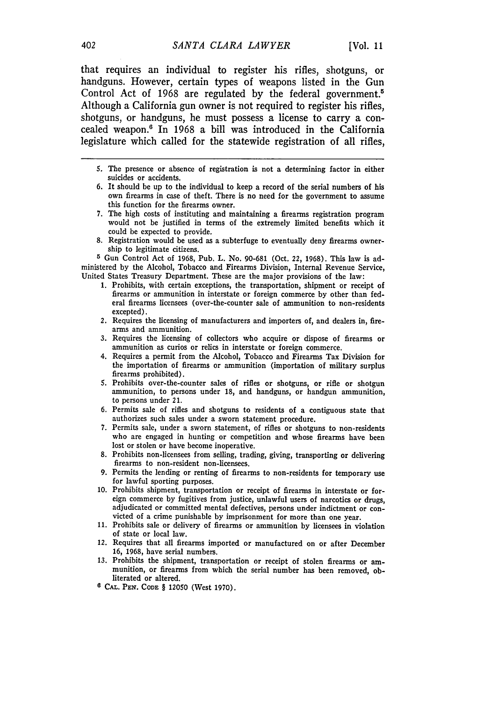that requires an individual to register his rifles, shotguns, or handguns. However, certain types of weapons listed in the Gun Control Act of **1968** are regulated **by** the federal government.5 Although a California gun owner is not required to register his rifles, shotguns, or handguns, he must possess a license to carry a concealed weapon.' In **1968** a bill was introduced in the California legislature which called for the statewide registration of all rifles,

- **5.** The presence or absence of registration is not a determining factor in either suicides or accidents.
- 6. It should be up to the individual to keep a record of the serial numbers of his own firearms in case of theft. There is no need for the government to assume this function for the firearms owner.
- 7. The high costs of instituting and maintaining a firearms registration program would not be justified in terms of the extremely limited benefits which it could be expected to provide.
- 8. Registration would be used as a subterfuge to eventually deny firearms ownership to legitimate citizens.

**5** Gun Control Act of 1968, Pub. L. No. 90-681 (Oct. 22, 1968). This law is administered **by** the Alcohol, Tobacco and Firearms Division, Internal Revenue Service, United States Treasury Department. These are the major provisions of the law:

- 1. Prohibits, with certain exceptions, the transportation, shipment or receipt of firearms or ammunition in interstate or foreign commerce by other than federal firearms licensees (over-the-counter sale of ammunition to non-residents excepted).
- 2. Requires the licensing of manufacturers and importers of, and dealers in, firearms and ammunition.
- 3. Requires the licensing of collectors who acquire or dispose of firearms or ammunition as curios or relics in interstate or foreign commerce.
- 4. Requires a permit from the Alcohol, Tobacco and Firearms Tax Division for the importation of firearms or ammunition (importation of military surplus firearms prohibited).
- 5. Prohibits over-the-counter sales of rifles or shotguns, or rifle or shotgun ammunition, to persons under 18, and handguns, or handgun ammunition, to persons under 21.
- 6. Permits sale of rifles and shotguns to residents of a contiguous state that authorizes such sales under a sworn statement procedure.
- 7. Permits sale, under a sworn statement, of rifles or shotguns to non-residents who are engaged in hunting or competition and whose firearms have been lost or stolen or have become inoperative.
- 8. Prohibits non-licensees from selling, trading, giving, transporting or delivering firearms to non-resident non-licensees.
- 9. Permits the lending or renting of firearms to non-residents for temporary use for lawful sporting purposes.
- 10. Prohibits shipment, transportation or receipt of firearms in interstate or foreign commerce by fugitives from justice, unlawful users of narcotics or drugs, adjudicated or committed mental defectives, persons under indictment or convicted of a crime punishable by imprisonment for more than one year.
- 11. Prohibits sale or delivery of firearms or ammunition by licensees in violation of state or local law.
- *12.* Requires that all firearms imported or manufactured on or after December 16, 1968, have serial numbers.
- 13. Prohibits the shipment, transportation or receipt of stolen firearms or ammunition, or firearms from which the serial number has been removed, obliterated or altered.
- **6 CAL. P N. CODE** § 12050 (West 1970).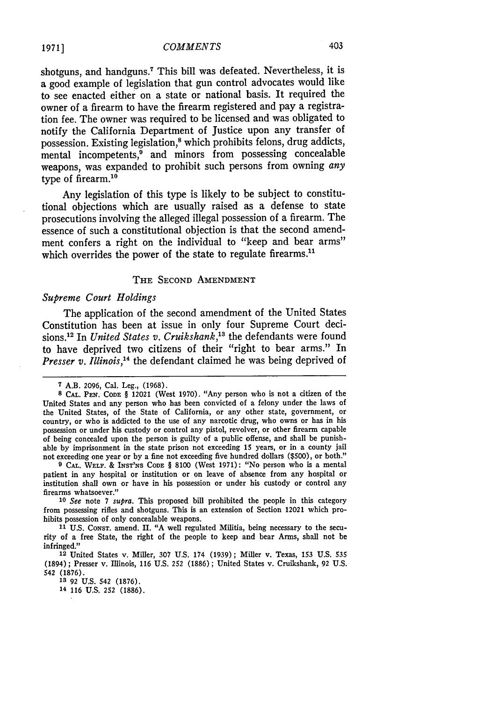shotguns, and handguns.<sup>7</sup> This bill was defeated. Nevertheless, it is a good example of legislation that gun control advocates would like to see enacted either on a state or national basis. It required the owner of a firearm to have the firearm registered and pay a registration fee. The owner was required to be licensed and was obligated to notify the California Department of Justice upon any transfer of possession. Existing legislation,<sup>8</sup> which prohibits felons, drug addicts, mental incompetents,<sup>9</sup> and minors from possessing concealable weapons, was expanded to prohibit such persons from owning *any* type of firearm.<sup>10</sup>

Any legislation of this type is likely to be subject to constitutional objections which are usually raised as a defense to state prosecutions involving the alleged illegal possession of a firearm. The essence of such a constitutional objection is that the second amendment confers a right on the individual to "keep and bear arms" which overrides the power of the state to regulate firearms.<sup>11</sup>

#### THE SECOND AMENDMENT

#### *Supreme Court Holdings*

The application of the second amendment of the United States Constitution has been at issue in only four Supreme Court decisions.<sup>12</sup> In *United States v. Cruikshank*,<sup>13</sup> the defendants were found to have deprived two citizens of their "right to bear arms." In *Presser v. Illinois*,<sup>14</sup> the defendant claimed he was being deprived of

**9 CAL. WELF. &** INST'NS **CODE** § **8100** (West 1971): "No person who is a mental patient in any hospital or institution or on leave of absence from any hospital or institution shall own or have in his possession or under his custody or control any firearms whatsoever."

*<sup>10</sup>See* note 7 *supra.* This proposed bill prohibited the people in this category from possessing rifles and shotguns. This is an extension of Section 12021 which prohibits possession of only concealable weapons.

**11 U.S. CONST.** amend. **H.** "A well regulated Militia, being necessary to the security of a free State, the right of the people to keep and bear Arms, shall not be infringed."

**12** United States v. Miller, 307 U.S. 174 (1939); Miller v. Texas, 153 U.S. 535 (1894) ; Presser v. Illinois, 116 U.S. 252 (1886) **;** United States v. Cruikshank, 92 U.S. 542 **(1876).**

**<sup>7</sup>** A.B. 2096, Cal. Leg., (1968).

**<sup>8</sup> CAL. PEN.** CODE § 12021 (West 1970). "Any person who is not a citizen of the United States and any person who has been convicted of a felony under the laws of the United States, of the State of California, or any other state, government, or country, or who is addicted to the use of any narcotic drug, who owns or has in his possession or under his custody or control any pistol, revolver, or other firearm capable of being concealed upon the person is guilty of a public offense, and shall be punishable by imprisonment in the state prison not exceeding 15 years, or in a county jail not exceeding one year or by a fine not exceeding five hundred dollars (\$500), or both."

**<sup>13 92</sup>** U.S. 542 (1876).

**<sup>14</sup>** 116 U.S. 252 (1886).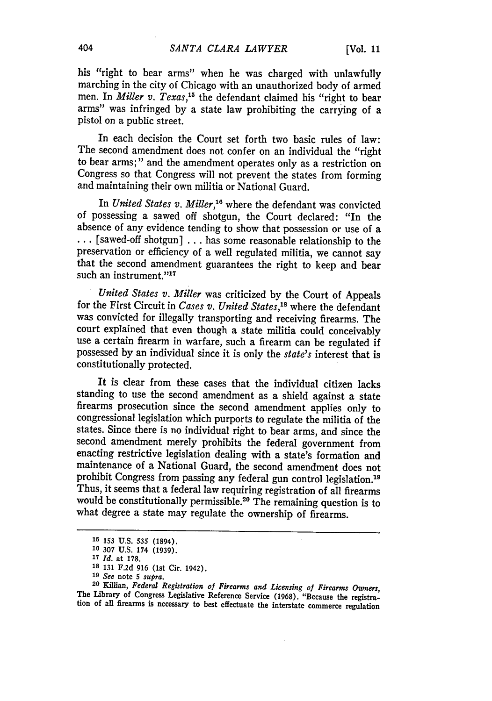his "right to bear arms" when he was charged with unlawfully marching in the city of Chicago with an unauthorized body of armed men. In *Miller v. Texas,'5* the defendant claimed his "right to bear arms" was infringed by a state law prohibiting the carrying of a pistol on a public street.

In each decision the Court set forth two basic rules of law: The second amendment does not confer on an individual the "right to bear arms;" and the amendment operates only as a restriction on Congress so that Congress will not prevent the states from forming and maintaining their own militia or National Guard.

In *United States v. Miller,"* where the defendant was convicted of possessing a sawed off shotgun, the Court declared: "In the absence of any evidence tending to show that possession or use of a **...** [sawed-off shotgun] ... has some reasonable relationship to the preservation or efficiency of a well regulated militia, we cannot say that the second amendment guarantees the right to keep and bear such an instrument."17

*United States v. Miller* was criticized by the Court of Appeals for the First Circuit in *Cases v. United States*,<sup>18</sup> where the defendant was convicted for illegally transporting and receiving firearms. The court explained that even though a state militia could conceivably use a certain firearm in warfare, such a firearm can be regulated if possessed by an individual since it is only the *state's* interest that is constitutionally protected.

It is clear from these cases that the individual citizen lacks standing to use the second amendment as a shield against a state firearms prosecution since the second amendment applies only to congressional legislation which purports to regulate the militia of the states. Since there is no individual right to bear arms, and since the second amendment merely prohibits the federal government from enacting restrictive legislation dealing with a state's formation and maintenance of a National Guard, the second amendment does not prohibit Congress from passing any federal gun control legislation.<sup>19</sup> Thus, it seems that a federal law requiring registration of all firearms would be constitutionally permissible.<sup>20</sup> The remaining question is to what degree a state may regulate the ownership of firearms.

**<sup>15</sup>**153 U.S. **535** (1894).

**<sup>16</sup> 307** U.S. 174 (1939).

**<sup>17</sup>** *Id.* at 178.

**<sup>18</sup>** 131 F.2d 916 (1st Cir. 1942).

**<sup>19</sup>** *See* note 5 *supra.*

**<sup>20</sup>**Killian, *Federal Registration of Firearms and Licensing of Firearms Owners,* The Library of Congress Legislative Reference Service **(1968).** "Because the registra- tion of all firearms is necessary to best effectuate the interstate commerce regulation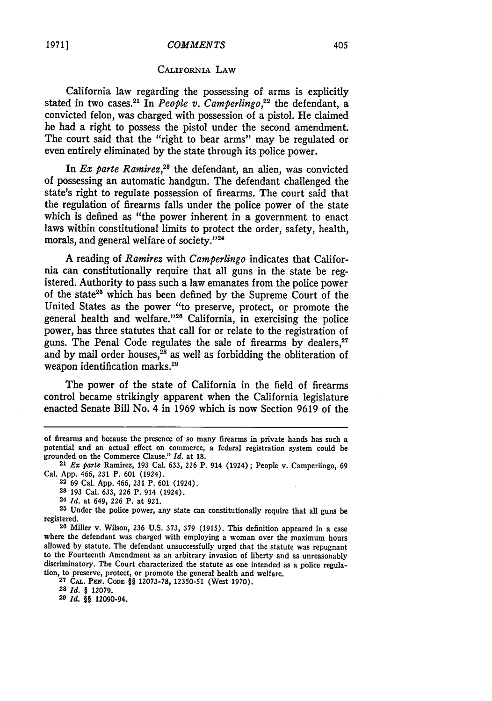#### *COMMENTS*

#### CALIFORNIA LAW

California law regarding the possessing of arms is explicitly stated in two cases.<sup>21</sup> In *People v. Camperlingo*,<sup>22</sup> the defendant, a convicted felon, was charged with possession of a pistol. He claimed he had a right to possess the pistol under the second amendment. The court said that the "right to bear arms" may be regulated or even entirely eliminated by the state through its police power.

In *Ex parte Ramirez*,<sup>23</sup> the defendant, an alien, was convicted of possessing an automatic handgun. The defendant challenged the state's right to regulate possession of firearms. The court said that the regulation of firearms falls under the police power of the state which is defined as "the power inherent in a government to enact laws within constitutional limits to protect the order, safety, health, morals, and general welfare of society."<sup>24</sup>

A reading of *Ramirez* with *Camperlingo* indicates that California can constitutionally require that all guns in the state be registered. Authority to pass such a law emanates from the police power of the state25 which has been defined by the Supreme Court of the United States as the power "to preserve, protect, or promote the general health and welfare."<sup>26</sup> California, in exercising the police power, has three statutes that call for or relate to the registration of guns. The Penal Code regulates the sale of firearms by dealers,<sup>27</sup> and by mail order houses,<sup>28</sup> as well as forbidding the obliteration of weapon identification marks.<sup>29</sup>

The power of the state of California in the field of firearms control became strikingly apparent when the California legislature enacted Senate Bill No. 4 in 1969 which is now Section 9619 of the

**28** *Id. §* 12079.

**29** *Id. §§* 12090-94.

of firearms and because the presence of so many firearms in private hands has such a potential and an actual effect on commerce, a federal registration system could be grounded on the Commerce Clause." *Id.* at 18.

**<sup>21</sup>***Ex parte* Ramirez, 193 Cal. 633, **226** P. 914 (1924); People v. Camperlingo, **<sup>69</sup>**

Cal. App. 466, **231** P. **601** (1924). **<sup>22</sup>**69 Cal. **App.** 466, 231 P. **601** (1924).

**<sup>23</sup>** 193 Cal. 633, **226** P. 914 (1924).

**<sup>24</sup>** *Id.* at 649, **226** P. at 921.

**<sup>25</sup>** Under the police power, any state can constitutionally require that all guns be registered.

**<sup>26</sup>** Miller v. Wilson, 236 U.S. 373, 379 (1915). This definition appeared in a case where the defendant was charged with employing a woman over the maximum hours allowed **by** statute. The defendant unsuccessfully urged that the statute was repugnant to the Fourteenth Amendment as an arbitrary invasion of liberty and as unreasonably discriminatory. The Court characterized the statute as one intended as a police regulation, to preserve, protect, or promote the general health and welfare.

**<sup>27</sup> CAL. PEN. CODE** §§ **12073-78,** 12350-51 (West 1970).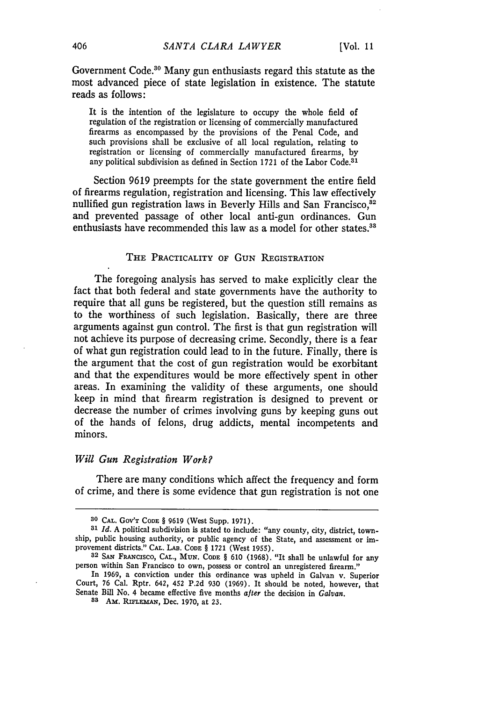Government Code.<sup>30</sup> Many gun enthusiasts regard this statute as the most advanced piece of state legislation in existence. The statute reads as follows:

It is the intention of the legislature to occupy the whole field of regulation of the registration or licensing of commercially manufactured firearms as encompassed by the provisions of the Penal Code, and such provisions shall be exclusive of all local regulation, relating to registration or licensing of commercially manufactured firearms, by any political subdivision as defined in Section 1721 of the Labor Code.<sup>31</sup>

Section 9619 preempts for the state government the entire field of firearms regulation, registration and licensing. This law effectively nullified gun registration laws in Beverly Hills and San Francisco,<sup>82</sup> and prevented passage of other local anti-gun ordinances. Gun enthusiasts have recommended this law as a model for other states.<sup>33</sup>

#### THE PRACTICALITY OF GUN REGISTRATION

The foregoing analysis has served to make explicitly clear the fact that both federal and state governments have the authority to require that all guns be registered, but the question still remains as to the worthiness of such legislation. Basically, there are three arguments against gun control. The first is that gun registration will not achieve its purpose of decreasing crime. Secondly, there is a fear of what gun registration could lead to in the future. Finally, there is the argument that the cost of gun registration would be exorbitant and that the expenditures would be more effectively spent in other areas. In examining the validity of these arguments, one should keep in mind that firearm registration is designed to prevent or decrease the number of crimes involving guns by keeping guns out of the hands of felons, drug addicts, mental incompetents and minors.

#### *Will Gun Registration Work?*

There are many conditions which affect the frequency and form of crime, and there is some evidence that gun registration is not one

**<sup>30</sup> CAL.** GOV'T **CODE** § **9619** (West **Supp. 1971).**

*<sup>31</sup> Id.* A political subdivision is stated to include: "any county, city, district, township, public housing authority, or public agency of the State, and assessment or improvement districts." CAL. LAB. CODE § 1721 (West 1955).

<sup>32</sup> SAN FRANcisco, CAL., **MUN.** CODE § 610 (1968). "It shall be unlawful for any person within San Francisco to own, possess or control an unregistered firearm."

In **1969,** a conviction under this ordinance was upheld in Galvan v. Superior Court, 76 Cal. Rptr. 642, 452 P.2d 930 (1969). It should be noted, however, that Senate Bill No. 4 became effective five months after the decision in *Galvan*.

<sup>83</sup> AM. RIFLEMAN, Dec. 1970, at 23.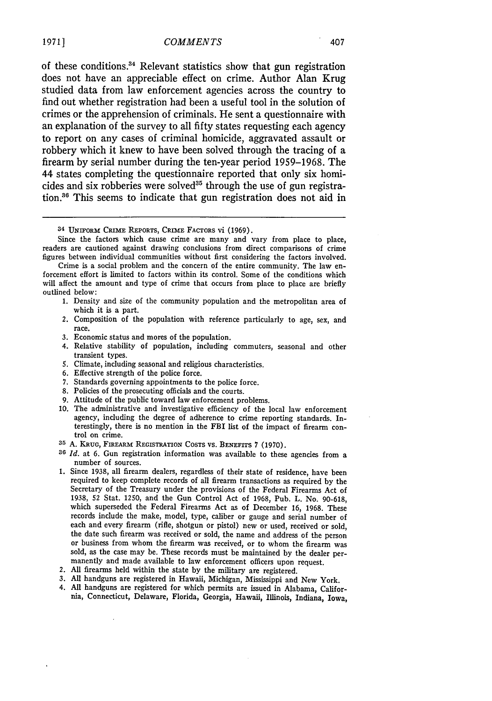of these conditions. 4 Relevant statistics show that gun registration does not have an appreciable effect on crime. Author Alan Krug studied data from law enforcement agencies across the country to find out whether registration had been a useful tool in the solution of crimes or the apprehension of criminals. He sent a questionnaire with an explanation of the survey to all fifty states requesting each agency to report on any cases of criminal homicide, aggravated assault or robbery which it knew to have been solved through the tracing of a firearm by serial number during the ten-year period 1959-1968. The 44 states completing the questionnaire reported that only six homicides and six robberies were solved<sup>35</sup> through the use of gun registration.<sup>36</sup> This seems to indicate that gun registration does not aid in

- **1.** Density and size of the community population and the metropolitan area of which it is a part.
- 2. Composition of the population with reference particularly to age, sex, and race.
- **3.** Economic status and mores of the population.
- 4. Relative stability of population, including commuters, seasonal and other transient types.
- 5. Climate, including seasonal and religious characteristics.
- 6. Effective strength of the police force.
- 7. Standards governing appointments to the police force.
- **8.** Policies of the prosecuting officials and the courts.
- 9. Attitude of the public toward law enforcement problems.
- 10. The administrative and investigative efficiency of the local law enforcement agency, including the degree of adherence to crime reporting standards. Interestingly, there is no mention in the FBI list of the impact of firearm control on crime.
- **35 A.** KRUG, FIaEARM REGIsTRATION COSTS vs. BENEFITS 7 (1970).
- <sup>36</sup> Id. at 6. Gun registration information was available to these agencies from a number of sources.
- **1.** Since 1938, all firearm dealers, regardless of their state of residence, have been required to keep complete records of all firearm transactions as required by the Secretary of the Treasury under the provisions of the Federal Firearms Act of 1938, **52** Stat. 1250, and the Gun Control Act of 1968, Pub. L. No. 90-618, which superseded the Federal Firearms Act as of December 16, 1968. These records include the make, model, type, caliber or gauge and serial number of each and every firearm (rifle, shotgun or pistol) new or used, received or sold, the date such firearm was received or sold, the name and address of the person or business from whom the firearm was received, or to whom the firearm was sold, as the case may be. These records must be maintained by the dealer permanently and made available to law enforcement officers upon request.
- 2. All firearms held within the state by the military are registered.
- 3. All handguns are registered in Hawaii, Michigan, Mississippi and New York.
- 4. All handguns are registered for which permits are issued in Alabama, California, Connecticut, Delaware, Florida, Georgia, Hawaii, Illinois, Indiana, Iowa,

<sup>34</sup> UNIFORM CRIME REPORTS, CRIME FACTORS vi (1969).

Since the factors which cause crime are many and vary from place to place, readers are cautioned against drawing conclusions from direct comparisons of crime figures between individual communities without first considering the factors involved.

Crime is a social problem and the concern of the entire community. The law enforcement effort is limited to factors within its control. Some of the conditions which will affect the amount and type of crime that occurs from place to place are briefly outlined below: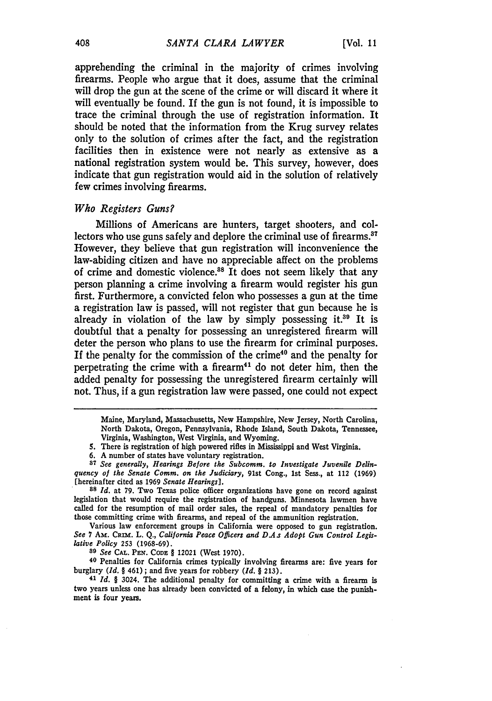apprehending the criminal in the majority of crimes involving firearms. People who argue that it does, assume that the criminal will drop the gun at the scene of the crime or will discard it where it will eventually be found. If the gun is not found, it is impossible to trace the criminal through the use of registration information. It should be noted that the information from the Krug survey relates only to the solution of crimes after the fact, and the registration facilities then in existence were not nearly as extensive as a national registration system would be. This survey, however, does indicate that gun registration would aid in the solution of relatively few crimes involving firearms.

#### *Who Registers Guns?*

Millions of Americans are hunters, target shooters, and collectors who use guns safely and deplore the criminal use of firearms.<sup>37</sup> However, they believe that gun registration will inconvenience the law-abiding citizen and have no appreciable affect on the problems of crime and domestic violence.<sup>88</sup> It does not seem likely that any person planning a crime involving a firearm would register his gun first. Furthermore, a convicted felon who possesses a gun at the time a registration law is passed, will not register that gun because he is already in violation of the law by simply possessing it.<sup>39</sup> It is doubtful that a penalty for possessing an unregistered firearm will deter the person who plans to use the firearm for criminal purposes. If the penalty for the commission of the crime40 and the penalty for perpetrating the crime with a firearm $41$  do not deter him, then the added penalty for possessing the unregistered firearm certainly will not. Thus, if a gun registration law were passed, one could not expect

*89 See* **CAL. PEN. CODE** § 12021 (West 1970).

**40** Penalties for California crimes typically involving firearms are: five years for burglary *(Id. §* 461) **;** and five years for robbery *(Id. §* **213).**

<sup>41</sup>*Id. §* 3024. The additional penalty for committing a crime with a firearm is two years unless one has already been convicted of a felony, in which case the punishment is four years.

Maine, Maryland, Massachusetts, New Hampshire, New Jersey, North Carolina, North Dakota, Oregon, Pennsylvania, Rhode Island, South Dakota, Tennessee, Virginia, Washington, West Virginia, and Wyoming.

**<sup>5.</sup>** There is registration of high powered rifles in Mississippi and West Virginia.

**<sup>6.</sup> A** number of states have voluntary registration.

**<sup>87</sup>** *See generally, Hearings Before the Subcomm. to Investigate Juvenile Delinquency of the Senate Comm. on the Judiciary,* 91st Cong., 1st Sess., at 112 **(1969)** [hereinafter cited as 1969 *Senate Hearings].*

**<sup>88</sup>** *Id.* at 79. Two Texas police officer organizations have gone on record against legislation that would require the registration of handguns. Minnesota lawmen have called for the resumption of mail order sales, the repeal of mandatory penalties for those committing crime with firearms, and repeal of the ammunition registration.

Various law enforcement groups in California were opposed to gun registration. See 7 Am. CRIM. L. Q., *California Peace Officers and D.As Adopt Gun Control Legislative Policy* **253** (1968-69).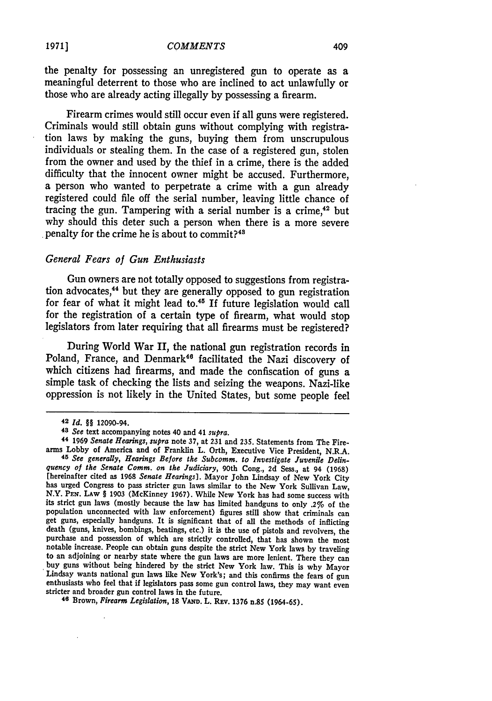Firearm crimes would still occur even if all guns were registered. Criminals would still obtain guns without complying with registration laws by making the guns, buying them from unscrupulous individuals or stealing them. In the case of a registered gun, stolen from the owner and used by the thief in a crime, there is the added difficulty that the innocent owner might be accused. Furthermore, a person who wanted to perpetrate a crime with a gun already registered could file off the serial number, leaving little chance of tracing the gun. Tampering with a serial number is a crime. $42$  but why should this deter such a person when there is a more severe penalty for the crime he is about to commit?<sup>41</sup>

#### *General Fears of Gun Enthusiasts*

Gun owners are not totally opposed to suggestions from registration advocates,<sup>44</sup> but they are generally opposed to gun registration for fear of what it might lead to.45 If future legislation would call for the registration of a certain type of firearm, what would stop legislators from later requiring that all firearms must be registered?

During World War II, the national gun registration records in Poland, France, and Denmark<sup>46</sup> facilitated the Nazi discovery of which citizens had firearms, and made the confiscation of guns a simple task of checking the lists and seizing the weapons. Nazi-like oppression is not likely in the United States, but some people feel

<sup>42</sup>*Id. §§* 12090-94.

*<sup>43</sup>See* text accompanying notes 40 and 41 *supra.* arms Lobby of America and of Franklin L. Orth, Executive Vice President, N.R.A. *45 See generally, Hearings Before the Subcomm. to Investigate Juvenile Delin-*

<sup>[</sup>hereinafter cited as 1968 Senate Hearings]. Mayor John Lindsay of New York City has urged Congress to pass stricter gun laws similar to the New York Sullivan Law, N.Y. **PEN. LAW** *§* **1903** (McKinney **1967).** While New York has had some success with its strict gun laws (mostly because the law has limited handguns to only **.2%** of the population unconnected with law enforcement) figures still show that criminals can get guns, especially handguns. It is significant that of all the methods of inflicting death (guns, knives, bombings, beatings, etc.) it is purchase and possession of which are strictly controlled, that has shown the most notable increase. People can obtain guns despite the strict New York laws **by** traveling buy guns without being hindered by the strict New York law. This is why Mayor<br>Lindsay wants national gun laws like New York's; and this confirms the fears of gun<br>enthusiasts who feel that if legislators pass some gun contr

**<sup>46</sup>**Brown, *Firearm Legislation,* **18 VAMW.** L. Rav. 1376 n.85 (1964-65).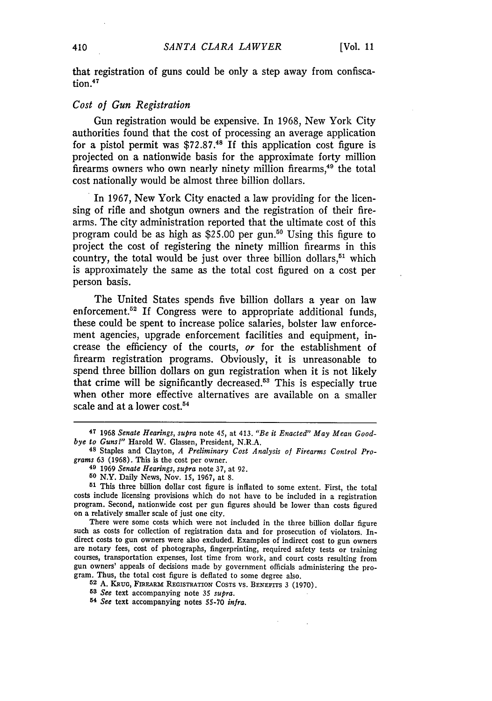that registration of guns could be only a step away from confiscation.47

#### *Cost of Gun Registration*

Gun registration would be expensive. In **1968,** New York City authorities found that the cost of processing an average application for a pistol permit was **\$72.87.18** If this application cost figure is projected on a nationwide basis for the approximate forty million firearms owners who own nearly ninety million firearms,49 the total cost nationally would be almost three billion dollars.

In **1967,** New York City enacted a law providing for the licensing of rifle and shotgun owners and the registration of their firearms. The city administration reported that the ultimate cost of this program could be as high as \$25.00 per gun.<sup>50</sup> Using this figure to project the cost of registering the ninety million firearms in this country, the total would be just over three billion dollars, $51$  which is approximately the same as the total cost figured on a cost per person basis.

The United States spends five billion dollars a year on law enforcement.<sup>52</sup> If Congress were to appropriate additional funds, these could be spent to increase police salaries, bolster law enforcement agencies, upgrade enforcement facilities and equipment, increase the efficiency of the courts, *or* for the establishment of firearm registration programs. Obviously, it is unreasonable to spend three billion dollars on gun registration when it is not likely that crime will be significantly decreased.53 This is especially true when other more effective alternatives are available on a smaller scale and at a lower cost.<sup>54</sup>

There were some costs which were not included in the three billion dollar figure such as costs for collection of registration data and for prosecution of violators. Indirect costs to gun owners were also excluded. Examples of indirect cost to gun owners are notary fees, cost of photographs, fingerprinting, required safety tests or training courses, transportation expenses, lost time from work, and court costs resulting from gun owners' appeals of decisions made **by** government officials administering the program. Thus, the total cost figure is deflated to some degree also.

**52 A. KRUG,** FiREaam **REGISTRATION COSTS** vs. **BENEFITS 3 (1970).**

*53 See* text accompanying note **35** *supra.*

**<sup>54</sup>***See* text accompanying notes **55-70** *infra.*

**<sup>47 1968</sup>** *Senate Hearings, supra* note 45, at 413. *"Be it Enacted" May Mean Good-*

<sup>&</sup>lt;sup>48</sup> Staples and Clayton, *A Preliminary Cost Analysis of Firearms Control Programs* **63 (1968).** This is the cost per owner.

**<sup>49</sup>1969** *Senate Hearings, supra* note **37,** at **92.**

**<sup>50</sup>**N.Y. Daily News, Nov. **15, 1967,** at **8.**

**<sup>51</sup>**This three billion dollar cost figure is inflated to some extent. First, the total costs include licensing provisions which do not have to be included in a registration program. Second, nationwide cost per gun figures should be lower than costs figured on a relatively smaller scale of just one city.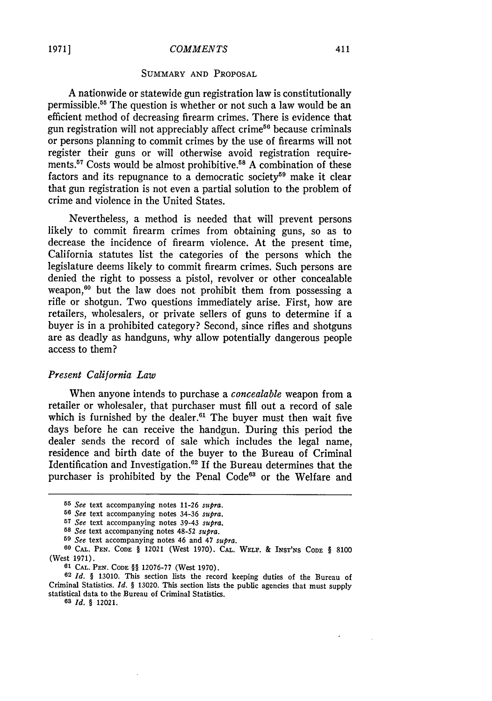#### SUMMARY AND PROPOSAL

A nationwide or statewide gun registration law is constitutionally permissible.<sup>55</sup> The question is whether or not such a law would be an efficient method of decreasing firearm crimes. There is evidence that gun registration will not appreciably affect crime<sup>56</sup> because criminals or persons planning to commit crimes by the use of firearms will not register their guns or will otherwise avoid registration requirements.<sup>57</sup> Costs would be almost prohibitive.<sup>58</sup> A combination of these factors and its repugnance to a democratic society<sup>59</sup> make it clear that gun registration is not even a partial solution to the problem of crime and violence in the United States.

Nevertheless, a method is needed that will prevent persons likely to commit firearm crimes from obtaining guns, so as to decrease the incidence of firearm violence. At the present time, California statutes list the categories of the persons which the legislature deems likely to commit firearm crimes. Such persons are denied the right to possess a pistol, revolver or other concealable weapon,<sup>60</sup> but the law does not prohibit them from possessing a rifle or shotgun. Two questions immediately arise. First, how are retailers, wholesalers, or private sellers of guns to determine if a buyer is in a prohibited category? Second, since rifles and shotguns are as deadly as handguns, why allow potentially dangerous people access to them?

#### *Present California Law*

When anyone intends to purchase a *concealable* weapon from a retailer or wholesaler, that purchaser must fill out a record of sale which is furnished by the dealer.<sup>61</sup> The buyer must then wait five days before he can receive the handgun. During this period the dealer sends the record of sale which includes the legal name, residence and birth date of the buyer to the Bureau of Criminal Identification and Investigation.<sup>62</sup> If the Bureau determines that the purchaser is prohibited by the Penal Code<sup>63</sup> or the Welfare and

**62** *Id. §* 13010. This section lists the record keeping duties of the Bureau of Criminal Statistics. *Id. §* 13020. This section lists the public agencies that must supply statistical data to the Bureau of Criminal Statistics.

**63** *Id. §* 12021.

**<sup>55</sup>** *See* text accompanying notes 11-26 *supra.*

**<sup>56</sup>** *See* text accompanying notes 34-36 *supra.*

*<sup>57</sup>See* text accompanying notes 39-43 *supra.*

**<sup>58</sup>** *See* text accompanying notes 48-52 *supra.*

**<sup>59</sup>** *See* text accompanying notes 46 and 47 *supra.*

**<sup>60</sup> CAL. PEN. CODE** § 12021 (West 1970). **CAL.** WELF. & **INST'NS CODE** § 8100 (West 1971).

**<sup>61</sup> CAL. PEN. CODE** *§§* 12076-77 (West 1970).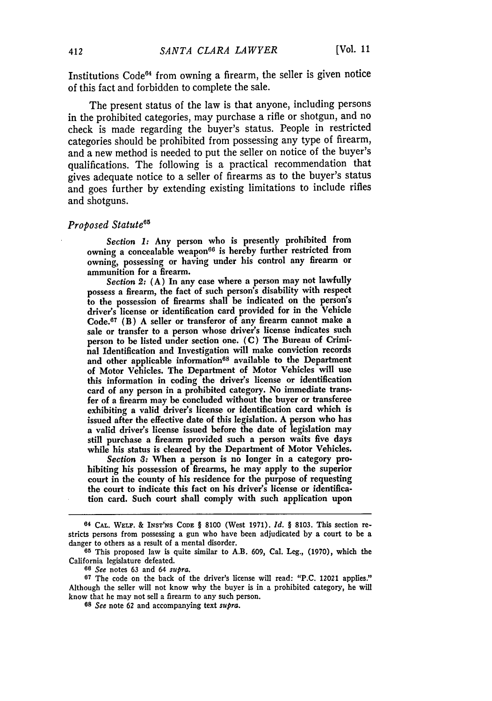Institutions  $Code<sup>64</sup>$  from owning a firearm, the seller is given notice of this fact and forbidden to complete the sale.

The present status of the law is that anyone, including persons in the prohibited categories, may purchase a rifle or shotgun, and no check is made regarding the buyer's status. People in restricted categories should be prohibited from possessing any type of firearm, and a new method is needed to put the seller on notice of the buyer's qualifications. The following is a practical recommendation that gives adequate notice to a seller of firearms as to the buyer's status and goes further by extending existing limitations to include rifles and shotguns.

### $Proposed$  *Statute<sup>6t</sup>*

*Section 1:* Any person who is presently prohibited from owning a concealable weapon<sup>66</sup> is hereby further restricted from owning, possessing or having under his control any firearm or ammunition for a firearm.

*Section* 2: (A) In any case where a person may not lawfully possess a firearm, the fact of such person's disability with respect to the possession of firearms shall be indicated on the person's driver's license or identification card provided for in the Vehicle Code.67 (B) A seller or transferor of any firearm cannot make a sale or transfer to a person whose driver's license indicates such person to be listed under section one. (C) The Bureau of Criminal Identification and Investigation will make conviction records and other applicable information<sup>68</sup> available to the Department of Motor Vehicles. The Department of Motor Vehicles will use this information in coding the driver's license or identification card of any person in a prohibited category. No immediate transfer of a firearm may be concluded without the buyer or transferee exhibiting a valid driver's license or identification card which is issued after the effective date of this legislation. A person who has a valid driver's license issued before the date of legislation may still purchase a firearm provided such a person waits five days while his status is cleared by the Department of Motor Vehicles.

*Section 3:* When a person is no longer in a category prohibiting his possession of firearms, he may apply to the superior court in the county of his residence for the purpose of requesting the court to indicate this fact on his driver's license or identification card. Such court shall comply with such application upon

*66 See* notes 63 and 64 *supra.*

*<sup>68</sup>See* note **62** and accompanying text *supra.*

**<sup>64</sup> CAL. WELF.** & **INST'NS CODE** § **8100** (West **1971).** *Id. §* **8103.** This section restricts persons from possessing a gun who have been adjudicated **by** a court to be a danger to others as a result of a mental disorder.

**<sup>65</sup>**This proposed law is quite similar to A.B. 609, Cal. Leg., (1970), which the California legislature defeated.

**<sup>67</sup>**The code on the back of the driver's license will read: "P.C. 12021 applies." Although the seller will not know why the buyer is in a prohibited category, he will know that he may not sell a firearm to any such person.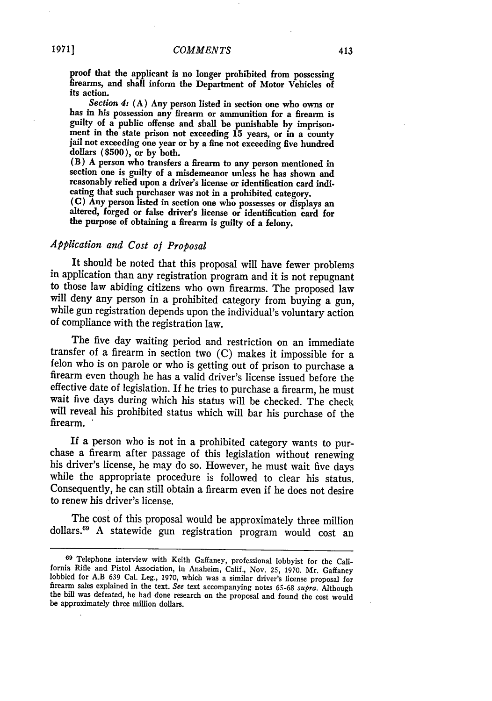proof that the applicant is no longer prohibited from possessing firearms, and shall inform the Department of Motor Vehicles of its action.

*Section 4:* (A) Any person listed in section one who owns or has in his possession any firearm or ammunition for a firearm is guilty of a public offense and shall be punishable by imprisonment in the state prison not exceeding 15 years, or in a county jail not exceeding one year or by a fine not exceeding five hundred dollars **(\$500),** or **by** both.

(B) **A** person who transfers a firearm to any person mentioned in section one is guilty of a misdemeanor unless he has shown and reasonably relied upon a driver's license or identification card indicating that such purchaser was not in a prohibited category.

(C) Any person listed in section one who possesses or displays an altered, forged or false driver's license or identification card for the purpose of obtaining a firearm is guilty of a felony.

#### *Application and Cost of Proposal*

It should be noted that this proposal will have fewer problems in application than any registration program and it is not repugnant to those law abiding citizens who own firearms. The proposed law will deny any person in a prohibited category from buying a gun, while gun registration depends upon the individual's voluntary action of compliance with the registration law.

The five day waiting period and restriction on an immediate transfer of a firearm in section two (C) makes it impossible for a felon who is on parole or who is getting out of prison to purchase a firearm even though he has a valid driver's license issued before the effective date of legislation. If he tries to purchase a firearm, he must wait five days during which his status will be checked. The check will reveal his prohibited status which will bar his purchase of the firearm.

If a person who is not in a prohibited category wants to pur-<br>chase a firearm after passage of this legislation without renewing<br>his driver's license, he may do so. However, he must wait five days<br>while the appropriate pro Consequently, he can still obtain a firearm even if he does not desire to renew his driver's license.

The cost of this proposal would be approximately three million dollars."9 A statewide gun registration program would cost an

**<sup>69</sup>** Telephone interview with Keith Gaffaney, professional lobbyist for the California Rifle and Pistol Association, in Anaheim, Calif., Nov. **25,** 1970. Mr. Gaffaney lobbied for A.B 639 Cal. Leg., 1970, which was a similar driver's license proposal for firearm sales explained in the text. *See* text accompanying notes 65-68 *supra.* Although the bill was defeated, he had done research on the proposal and found the cost would be approximately three million dollars.